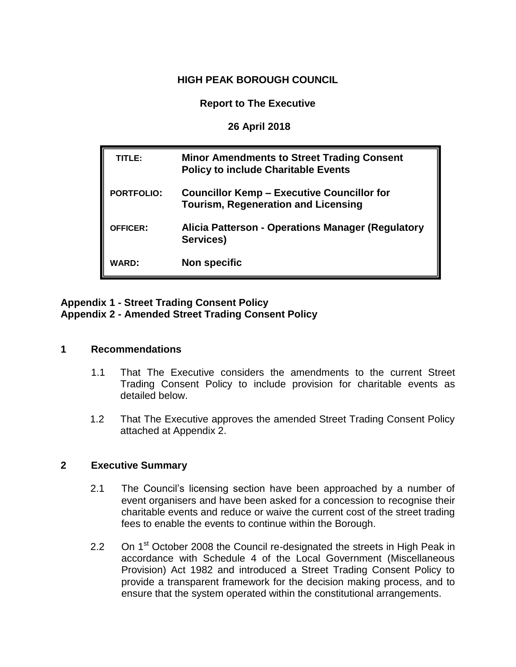## **HIGH PEAK BOROUGH COUNCIL**

**Report to The Executive**

**26 April 2018**

| TITLE:            | <b>Minor Amendments to Street Trading Consent</b><br><b>Policy to include Charitable Events</b> |
|-------------------|-------------------------------------------------------------------------------------------------|
| <b>PORTFOLIO:</b> | <b>Councillor Kemp – Executive Councillor for</b><br><b>Tourism, Regeneration and Licensing</b> |
| <b>OFFICER:</b>   | Alicia Patterson - Operations Manager (Regulatory<br>Services)                                  |
| <b>WARD:</b>      | <b>Non specific</b>                                                                             |

## **Appendix 1 - Street Trading Consent Policy Appendix 2 - Amended Street Trading Consent Policy**

## **1 Recommendations**

- 1.1 That The Executive considers the amendments to the current Street Trading Consent Policy to include provision for charitable events as detailed below.
- 1.2 That The Executive approves the amended Street Trading Consent Policy attached at Appendix 2.

## **2 Executive Summary**

- 2.1 The Council's licensing section have been approached by a number of event organisers and have been asked for a concession to recognise their charitable events and reduce or waive the current cost of the street trading fees to enable the events to continue within the Borough.
- 2.2 On 1<sup>st</sup> October 2008 the Council re-designated the streets in High Peak in accordance with Schedule 4 of the Local Government (Miscellaneous Provision) Act 1982 and introduced a Street Trading Consent Policy to provide a transparent framework for the decision making process, and to ensure that the system operated within the constitutional arrangements.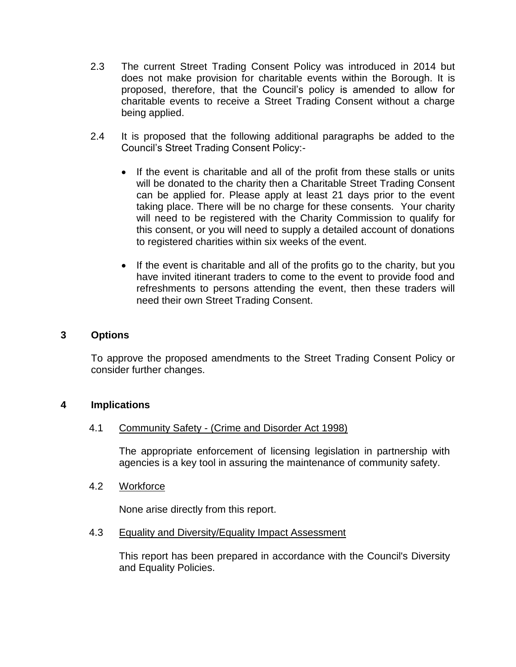- 2.3 The current Street Trading Consent Policy was introduced in 2014 but does not make provision for charitable events within the Borough. It is proposed, therefore, that the Council's policy is amended to allow for charitable events to receive a Street Trading Consent without a charge being applied.
- 2.4 It is proposed that the following additional paragraphs be added to the Council's Street Trading Consent Policy:-
	- If the event is charitable and all of the profit from these stalls or units will be donated to the charity then a Charitable Street Trading Consent can be applied for. Please apply at least 21 days prior to the event taking place. There will be no charge for these consents. Your charity will need to be registered with the Charity Commission to qualify for this consent, or you will need to supply a detailed account of donations to registered charities within six weeks of the event.
	- If the event is charitable and all of the profits go to the charity, but you have invited itinerant traders to come to the event to provide food and refreshments to persons attending the event, then these traders will need their own Street Trading Consent.

#### **3 Options**

To approve the proposed amendments to the Street Trading Consent Policy or consider further changes.

#### **4 Implications**

#### 4.1 Community Safety - (Crime and Disorder Act 1998)

The appropriate enforcement of licensing legislation in partnership with agencies is a key tool in assuring the maintenance of community safety.

#### 4.2 Workforce

None arise directly from this report.

#### 4.3 Equality and Diversity/Equality Impact Assessment

This report has been prepared in accordance with the Council's Diversity and Equality Policies.